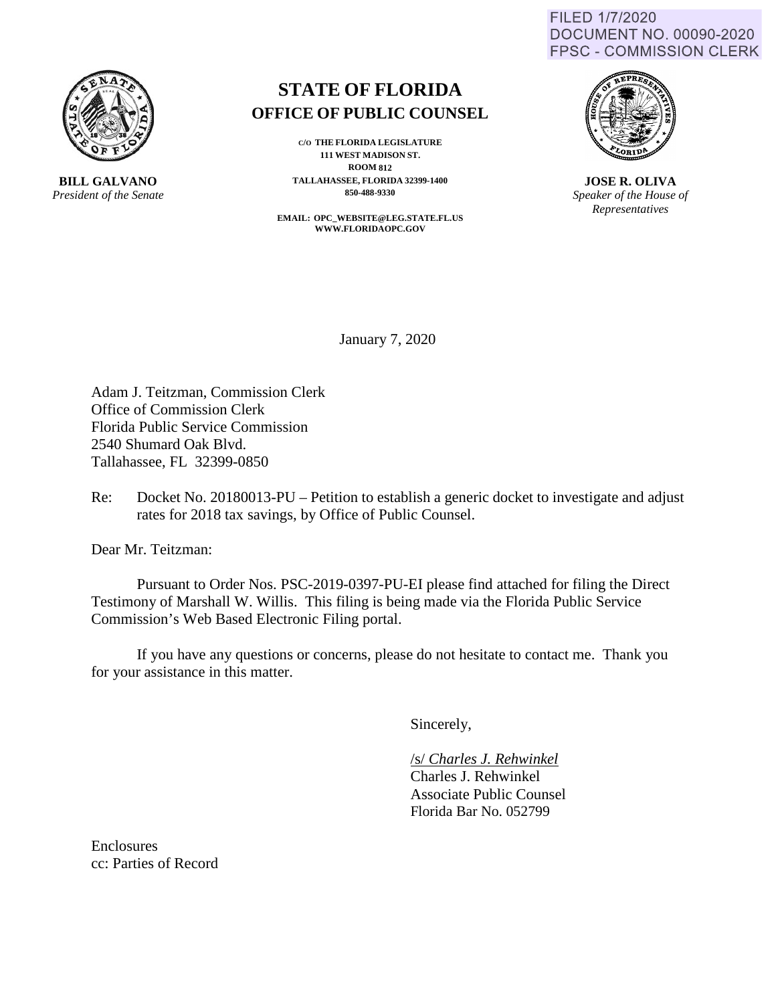FILED 1/7/2020 DOCUMENT NO. 00090-2020 **FPSC - COMMISSION CLERK** 



**BILL GALVANO** *President of the Senate*

### **STATE OF FLORIDA OFFICE OF PUBLIC COUNSEL**

**C/O THE FLORIDA LEGISLATURE 111 WEST MADISON ST. ROOM 812 TALLAHASSEE, FLORIDA 32399-1400 850-488-9330** 

**EMAIL: OPC\_WEBSITE@LEG.STATE.FL.US WWW.FLORIDAOPC.GOV**



**JOSE R. OLIVA** *Speaker of the House of Representatives*

January 7, 2020

Adam J. Teitzman, Commission Clerk Office of Commission Clerk Florida Public Service Commission 2540 Shumard Oak Blvd. Tallahassee, FL 32399-0850

Re: Docket No. 20180013-PU – Petition to establish a generic docket to investigate and adjust rates for 2018 tax savings, by Office of Public Counsel.

Dear Mr. Teitzman:

Pursuant to Order Nos. PSC-2019-0397-PU-EI please find attached for filing the Direct Testimony of Marshall W. Willis. This filing is being made via the Florida Public Service Commission's Web Based Electronic Filing portal.

 If you have any questions or concerns, please do not hesitate to contact me. Thank you for your assistance in this matter.

Sincerely,

/s/ *Charles J. Rehwinkel* Charles J. Rehwinkel Associate Public Counsel Florida Bar No. 052799

Enclosures cc: Parties of Record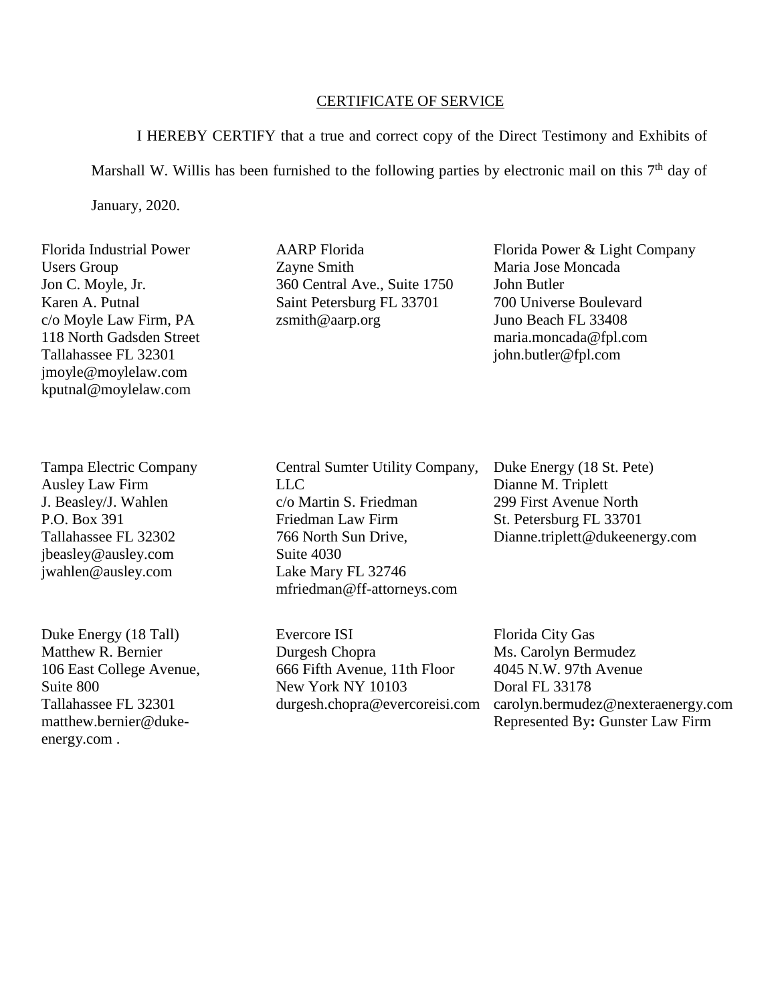#### CERTIFICATE OF SERVICE

I HEREBY CERTIFY that a true and correct copy of the Direct Testimony and Exhibits of Marshall W. Willis has been furnished to the following parties by electronic mail on this  $7<sup>th</sup>$  day of January, 2020.

Florida Industrial Power Users Group Jon C. Moyle, Jr. Karen A. Putnal c/o Moyle Law Firm, PA 118 North Gadsden Street Tallahassee FL 32301 jmoyle@moylelaw.com kputnal@moylelaw.com

Tampa Electric Company Ausley Law Firm J. Beasley/J. Wahlen P.O. Box 391 Tallahassee FL 32302 jbeasley@ausley.com jwahlen@ausley.com

Duke Energy (18 Tall) Matthew R. Bernier 106 East College Avenue, Suite 800 Tallahassee FL 32301 matthew.bernier@dukeenergy.com .

AARP Florida Zayne Smith 360 Central Ave., Suite 1750 Saint Petersburg FL 33701 zsmith@aarp.org

Florida Power & Light Company Maria Jose Moncada John Butler 700 Universe Boulevard Juno Beach FL 33408 maria.moncada@fpl.com john.butler@fpl.com

Central Sumter Utility Company, LLC c/o Martin S. Friedman Friedman Law Firm 766 North Sun Drive, Suite 4030 Lake Mary FL 32746 mfriedman@ff-attorneys.com

Evercore ISI Durgesh Chopra 666 Fifth Avenue, 11th Floor New York NY 10103 durgesh.chopra@evercoreisi.com Duke Energy (18 St. Pete) Dianne M. Triplett 299 First Avenue North St. Petersburg FL 33701 Dianne.triplett@dukeenergy.com

Florida City Gas Ms. Carolyn Bermudez 4045 N.W. 97th Avenue Doral FL 33178 carolyn.bermudez@nexteraenergy.com Represented By**:** Gunster Law Firm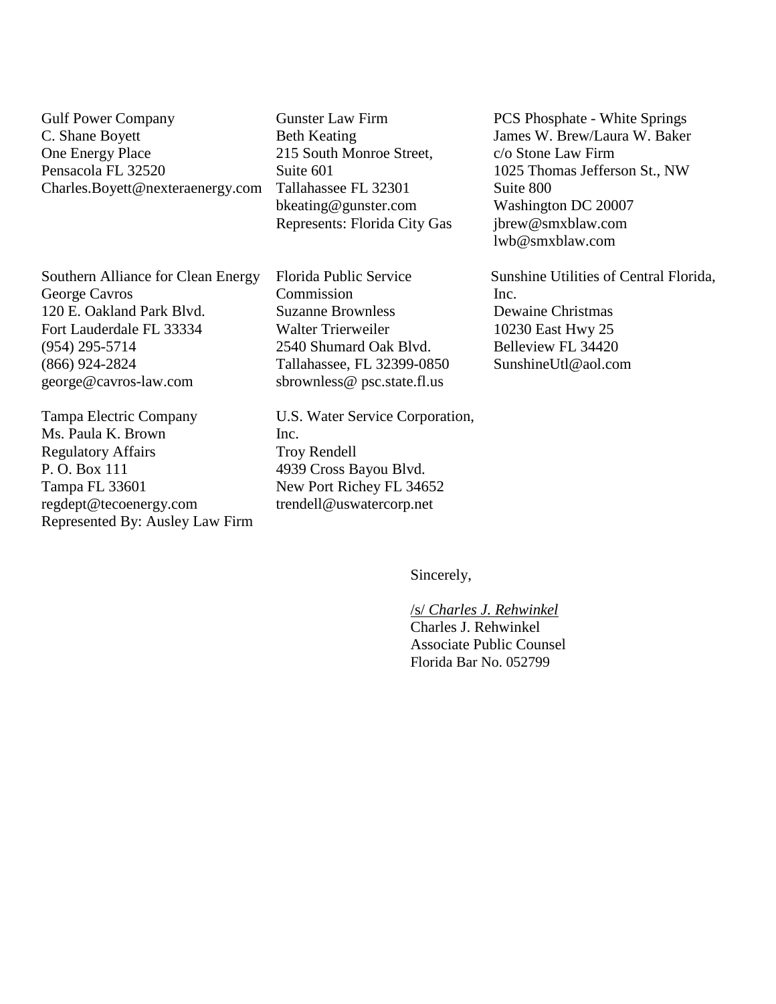Gulf Power Company C. Shane Boyett One Energy Place Pensacola FL 32520 Charles.Boyett@nexteraenergy.com

Southern Alliance for Clean Energy George Cavros 120 E. Oakland Park Blvd. Fort Lauderdale FL 33334 (954) 295-5714 (866) 924-2824 [george@cavros-law.com](mailto:george@cavros-law.com)

Tampa Electric Company Ms. Paula K. Brown Regulatory Affairs P. O. Box 111 Tampa FL 33601 regdept@tecoenergy.com Represented By: Ausley Law Firm

Gunster Law Firm Beth Keating 215 South Monroe Street, Suite 601 Tallahassee FL 32301 bkeating@gunster.com Represents: Florida City Gas

Florida Public Service Commission Suzanne Brownless Walter Trierweiler 2540 Shumard Oak Blvd. Tallahassee, FL 32399-0850 sbrownless@ psc.state.fl.us

U.S. Water Service Corporation, Inc. Troy Rendell 4939 Cross Bayou Blvd. New Port Richey FL 34652 trendell@uswatercorp.net

PCS Phosphate - White Springs James W. Brew/Laura W. Baker c/o Stone Law Firm 1025 Thomas Jefferson St., NW Suite 800 Washington DC 20007 jbrew@smxblaw.com lwb@smxblaw.com

Sunshine Utilities of Central Florida, Inc. Dewaine Christmas 10230 East Hwy 25 Belleview FL 34420 SunshineUtl@aol.com

Sincerely,

/s/ *Charles J. Rehwinkel* Charles J. Rehwinkel Associate Public Counsel Florida Bar No. 052799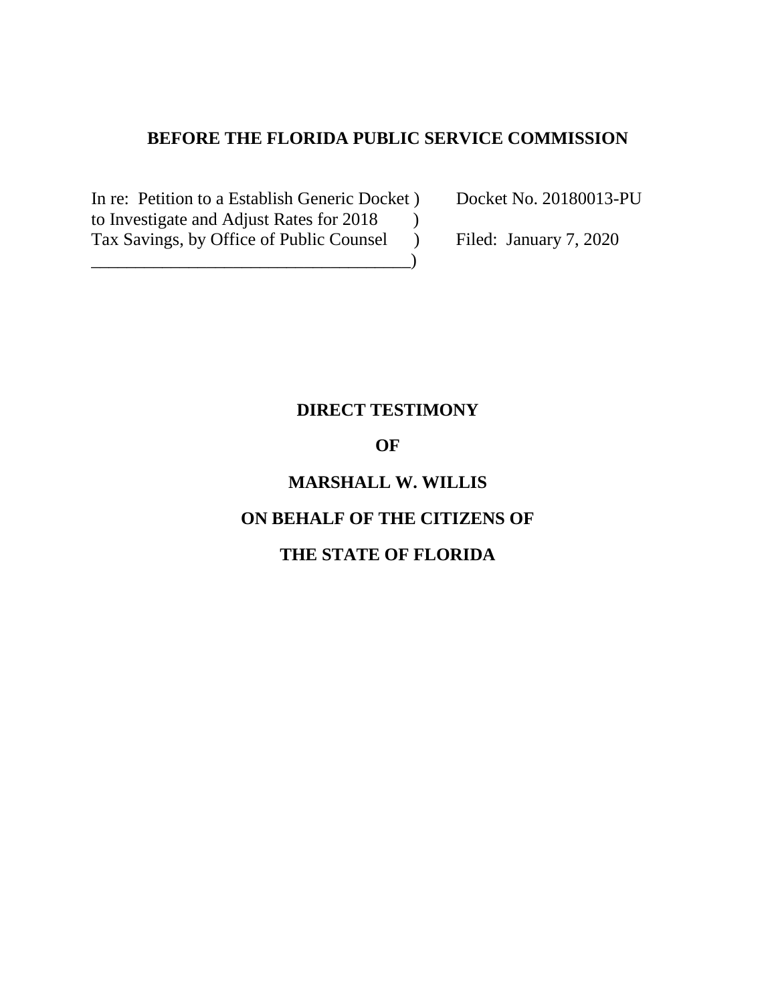### **BEFORE THE FLORIDA PUBLIC SERVICE COMMISSION**

In re: Petition to a Establish Generic Docket ) Docket No. 20180013-PU to Investigate and Adjust Rates for 2018 ) Tax Savings, by Office of Public Counsel ) Filed: January 7, 2020

\_\_\_\_\_\_\_\_\_\_\_\_\_\_\_\_\_\_\_\_\_\_\_\_\_\_\_\_\_\_\_\_\_\_\_\_)

### **DIRECT TESTIMONY**

### **OF**

# **MARSHALL W. WILLIS ON BEHALF OF THE CITIZENS OF THE STATE OF FLORIDA**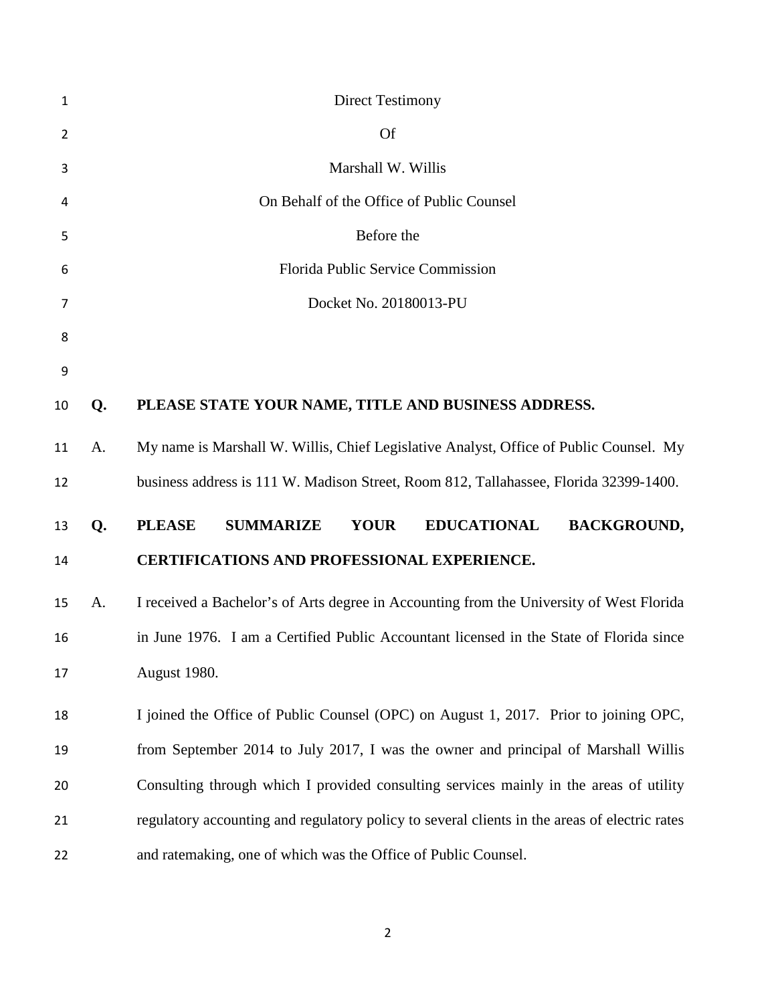| 1              |    | <b>Direct Testimony</b>                                                                       |
|----------------|----|-----------------------------------------------------------------------------------------------|
| $\overline{2}$ |    | <b>Of</b>                                                                                     |
| 3              |    | Marshall W. Willis                                                                            |
| 4              |    | On Behalf of the Office of Public Counsel                                                     |
| 5              |    | Before the                                                                                    |
| 6              |    | Florida Public Service Commission                                                             |
| 7              |    | Docket No. 20180013-PU                                                                        |
| 8              |    |                                                                                               |
| 9              |    |                                                                                               |
| 10             | Q. | PLEASE STATE YOUR NAME, TITLE AND BUSINESS ADDRESS.                                           |
| 11             | A. | My name is Marshall W. Willis, Chief Legislative Analyst, Office of Public Counsel. My        |
| 12             |    | business address is 111 W. Madison Street, Room 812, Tallahassee, Florida 32399-1400.         |
| 13             | Q. | <b>SUMMARIZE</b><br><b>YOUR</b><br><b>EDUCATIONAL</b><br><b>BACKGROUND,</b><br><b>PLEASE</b>  |
| 14             |    | <b>CERTIFICATIONS AND PROFESSIONAL EXPERIENCE.</b>                                            |
| 15             | A. | I received a Bachelor's of Arts degree in Accounting from the University of West Florida      |
| 16             |    | in June 1976. I am a Certified Public Accountant licensed in the State of Florida since       |
| 17             |    | August 1980.                                                                                  |
| 18             |    | I joined the Office of Public Counsel (OPC) on August 1, 2017. Prior to joining OPC,          |
| 19             |    | from September 2014 to July 2017, I was the owner and principal of Marshall Willis            |
| 20             |    | Consulting through which I provided consulting services mainly in the areas of utility        |
| 21             |    | regulatory accounting and regulatory policy to several clients in the areas of electric rates |
| 22             |    | and ratemaking, one of which was the Office of Public Counsel.                                |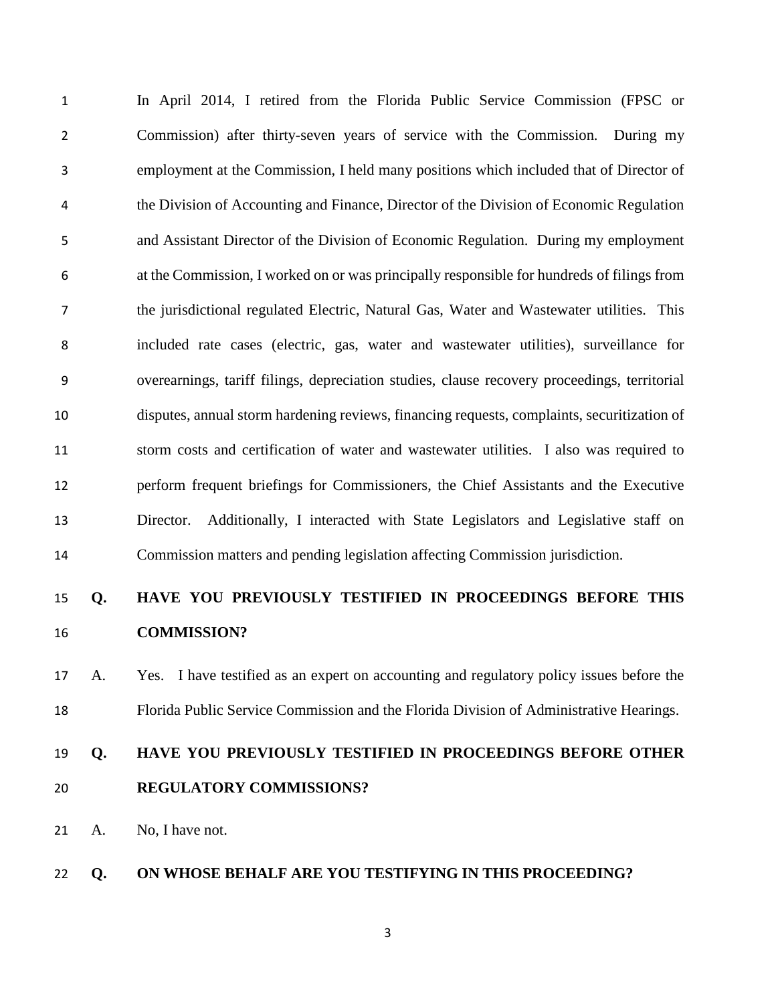In April 2014, I retired from the Florida Public Service Commission (FPSC or Commission) after thirty-seven years of service with the Commission. During my employment at the Commission, I held many positions which included that of Director of the Division of Accounting and Finance, Director of the Division of Economic Regulation and Assistant Director of the Division of Economic Regulation. During my employment at the Commission, I worked on or was principally responsible for hundreds of filings from the jurisdictional regulated Electric, Natural Gas, Water and Wastewater utilities. This included rate cases (electric, gas, water and wastewater utilities), surveillance for overearnings, tariff filings, depreciation studies, clause recovery proceedings, territorial disputes, annual storm hardening reviews, financing requests, complaints, securitization of storm costs and certification of water and wastewater utilities. I also was required to perform frequent briefings for Commissioners, the Chief Assistants and the Executive Director. Additionally, I interacted with State Legislators and Legislative staff on Commission matters and pending legislation affecting Commission jurisdiction.

# **Q. HAVE YOU PREVIOUSLY TESTIFIED IN PROCEEDINGS BEFORE THIS COMMISSION?**

# A. Yes. I have testified as an expert on accounting and regulatory policy issues before the Florida Public Service Commission and the Florida Division of Administrative Hearings.

# **Q. HAVE YOU PREVIOUSLY TESTIFIED IN PROCEEDINGS BEFORE OTHER REGULATORY COMMISSIONS?**

A. No, I have not.

### **Q. ON WHOSE BEHALF ARE YOU TESTIFYING IN THIS PROCEEDING?**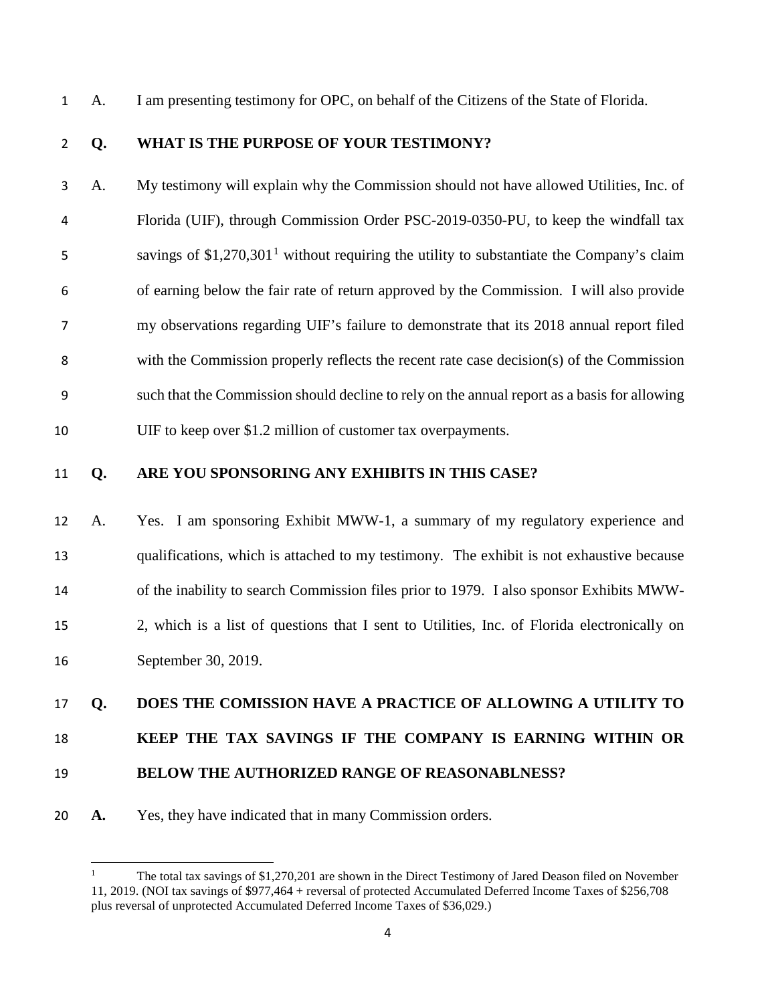A. I am presenting testimony for OPC, on behalf of the Citizens of the State of Florida.

### **Q. WHAT IS THE PURPOSE OF YOUR TESTIMONY?**

A. My testimony will explain why the Commission should not have allowed Utilities, Inc. of Florida (UIF), through Commission Order PSC-2019-0350-PU, to keep the windfall tax  $\sim$  savings of \$[1](#page-6-0),270,301<sup>1</sup> without requiring the utility to substantiate the Company's claim of earning below the fair rate of return approved by the Commission. I will also provide my observations regarding UIF's failure to demonstrate that its 2018 annual report filed with the Commission properly reflects the recent rate case decision(s) of the Commission such that the Commission should decline to rely on the annual report as a basis for allowing UIF to keep over \$1.2 million of customer tax overpayments.

l

### **Q. ARE YOU SPONSORING ANY EXHIBITS IN THIS CASE?**

 A. Yes. I am sponsoring Exhibit MWW-1, a summary of my regulatory experience and qualifications, which is attached to my testimony. The exhibit is not exhaustive because of the inability to search Commission files prior to 1979. I also sponsor Exhibits MWW- 2, which is a list of questions that I sent to Utilities, Inc. of Florida electronically on September 30, 2019.

#### **Q. DOES THE COMISSION HAVE A PRACTICE OF ALLOWING A UTILITY TO**

#### **KEEP THE TAX SAVINGS IF THE COMPANY IS EARNING WITHIN OR**

- **BELOW THE AUTHORIZED RANGE OF REASONABLNESS?**
- <span id="page-6-0"></span>**A.** Yes, they have indicated that in many Commission orders.

 The total tax savings of \$1,270,201 are shown in the Direct Testimony of Jared Deason filed on November 11, 2019. (NOI tax savings of \$977,464 + reversal of protected Accumulated Deferred Income Taxes of \$256,708 plus reversal of unprotected Accumulated Deferred Income Taxes of \$36,029.)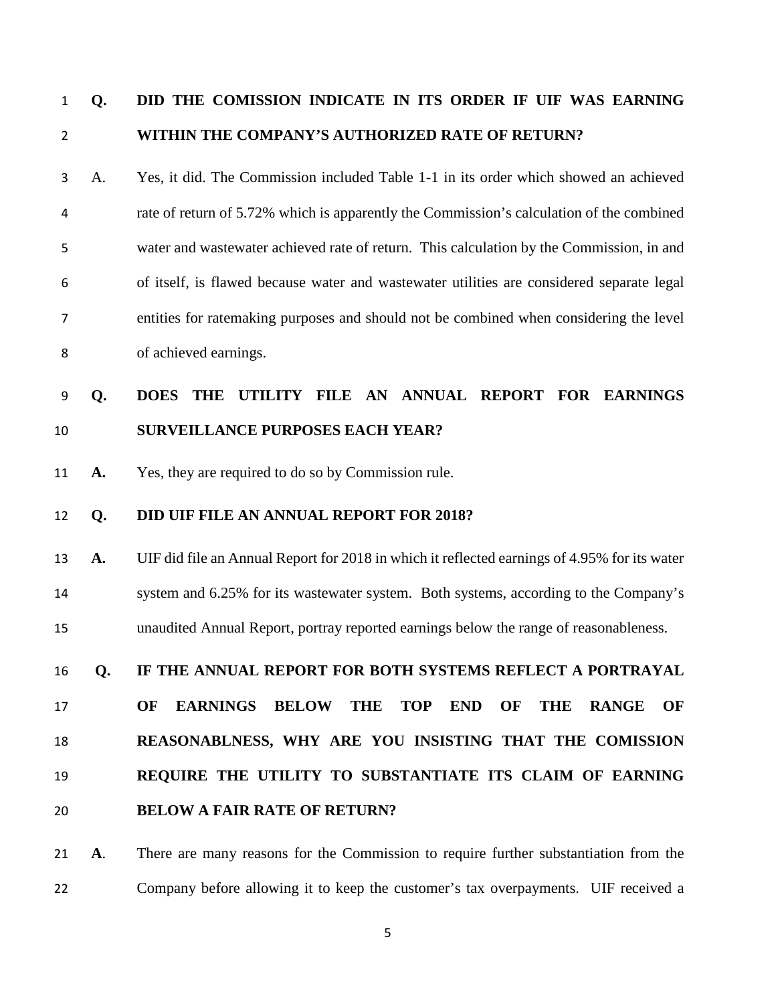# **Q. DID THE COMISSION INDICATE IN ITS ORDER IF UIF WAS EARNING WITHIN THE COMPANY'S AUTHORIZED RATE OF RETURN?**

A. Yes, it did. The Commission included Table 1-1 in its order which showed an achieved rate of return of 5.72% which is apparently the Commission's calculation of the combined water and wastewater achieved rate of return. This calculation by the Commission, in and of itself, is flawed because water and wastewater utilities are considered separate legal entities for ratemaking purposes and should not be combined when considering the level of achieved earnings.

# **Q. DOES THE UTILITY FILE AN ANNUAL REPORT FOR EARNINGS SURVEILLANCE PURPOSES EACH YEAR?**

**A.** Yes, they are required to do so by Commission rule.

### **Q. DID UIF FILE AN ANNUAL REPORT FOR 2018?**

 **A.** UIF did file an Annual Report for 2018 in which it reflected earnings of 4.95% for its water system and 6.25% for its wastewater system. Both systems, according to the Company's unaudited Annual Report, portray reported earnings below the range of reasonableness.

### **Q. IF THE ANNUAL REPORT FOR BOTH SYSTEMS REFLECT A PORTRAYAL**

 **OF EARNINGS BELOW THE TOP END OF THE RANGE OF REASONABLNESS, WHY ARE YOU INSISTING THAT THE COMISSION REQUIRE THE UTILITY TO SUBSTANTIATE ITS CLAIM OF EARNING** 

**BELOW A FAIR RATE OF RETURN?**

 **A**. There are many reasons for the Commission to require further substantiation from the Company before allowing it to keep the customer's tax overpayments. UIF received a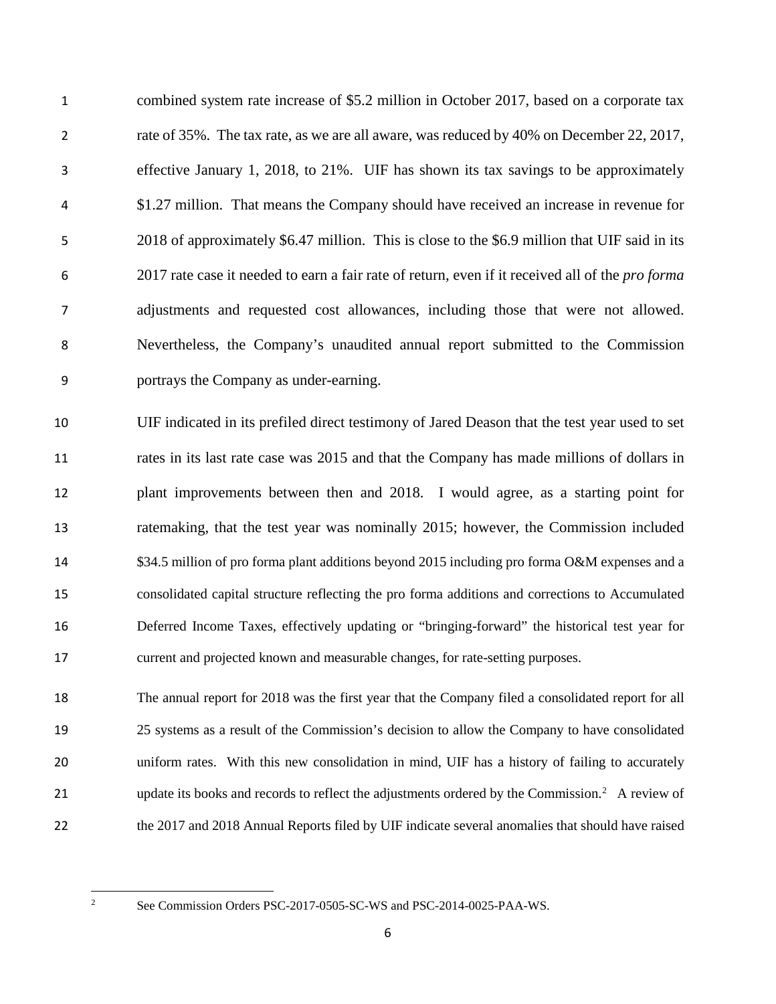combined system rate increase of \$5.2 million in October 2017, based on a corporate tax 2 rate of 35%. The tax rate, as we are all aware, was reduced by 40% on December 22, 2017, effective January 1, 2018, to 21%. UIF has shown its tax savings to be approximately \$1.27 million. That means the Company should have received an increase in revenue for 2018 of approximately \$6.47 million. This is close to the \$6.9 million that UIF said in its 2017 rate case it needed to earn a fair rate of return, even if it received all of the *pro forma* adjustments and requested cost allowances, including those that were not allowed. Nevertheless, the Company's unaudited annual report submitted to the Commission portrays the Company as under-earning.

 UIF indicated in its prefiled direct testimony of Jared Deason that the test year used to set rates in its last rate case was 2015 and that the Company has made millions of dollars in plant improvements between then and 2018. I would agree, as a starting point for ratemaking, that the test year was nominally 2015; however, the Commission included \$34.5 million of pro forma plant additions beyond 2015 including pro forma O&M expenses and a consolidated capital structure reflecting the pro forma additions and corrections to Accumulated Deferred Income Taxes, effectively updating or "bringing-forward" the historical test year for current and projected known and measurable changes, for rate-setting purposes.

 The annual report for 2018 was the first year that the Company filed a consolidated report for all 25 systems as a result of the Commission's decision to allow the Company to have consolidated uniform rates. With this new consolidation in mind, UIF has a history of failing to accurately 1 update its books and records to reflect the adjustments ordered by the Commission.<sup>2</sup> A review of the 2017 and 2018 Annual Reports filed by UIF indicate several anomalies that should have raised

<span id="page-8-0"></span>

 $\frac{1}{2}$ 

See Commission Orders PSC-2017-0505-SC-WS and PSC-2014-0025-PAA-WS.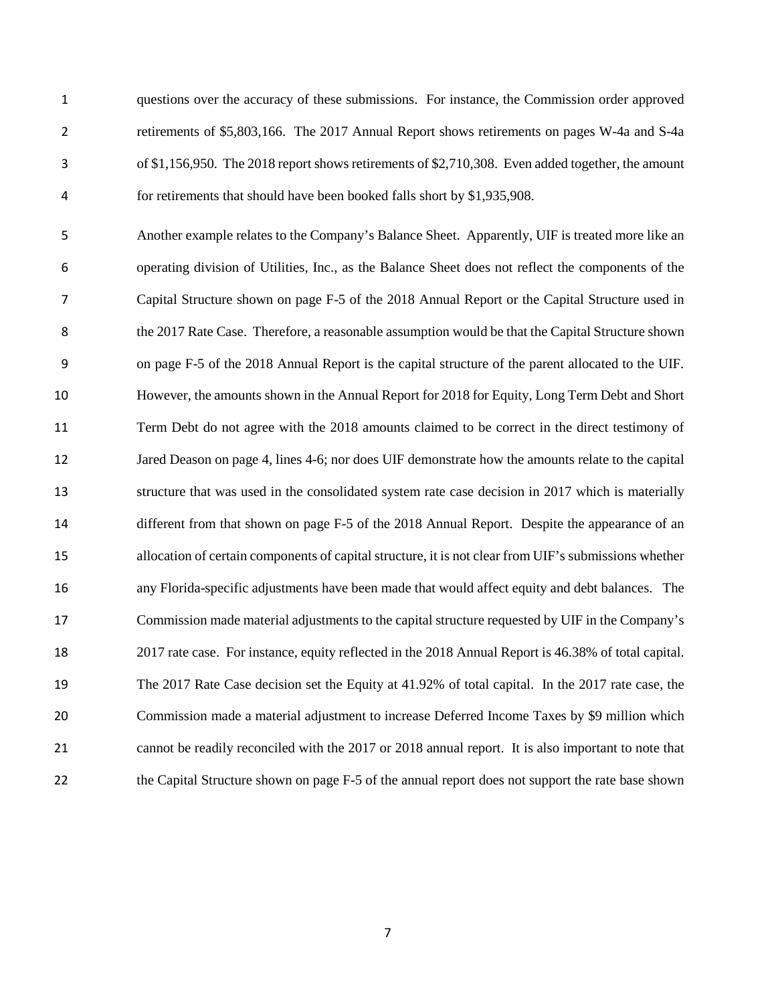questions over the accuracy of these submissions. For instance, the Commission order approved retirements of \$5,803,166. The 2017 Annual Report shows retirements on pages W-4a and S-4a of \$1,156,950. The 2018 report shows retirements of \$2,710,308. Even added together, the amount for retirements that should have been booked falls short by \$1,935,908.

Another example relates to the Company's Balance Sheet. Apparently, UIF is treated more like an operating division of Utilities, Inc., as the Balance Sheet does not reflect the components of the Capital Structure shown on page F-5 of the 2018 Annual Report or the Capital Structure used in 8 the 2017 Rate Case. Therefore, a reasonable assumption would be that the Capital Structure shown on page F-5 of the 2018 Annual Report is the capital structure of the parent allocated to the UIF. However, the amounts shown in the Annual Report for 2018 for Equity, Long Term Debt and Short Term Debt do not agree with the 2018 amounts claimed to be correct in the direct testimony of 12 Jared Deason on page 4, lines 4-6; nor does UIF demonstrate how the amounts relate to the capital structure that was used in the consolidated system rate case decision in 2017 which is materially different from that shown on page F-5 of the 2018 Annual Report. Despite the appearance of an allocation of certain components of capital structure, it is not clear from UIF's submissions whether any Florida-specific adjustments have been made that would affect equity and debt balances. The Commission made material adjustments to the capital structure requested by UIF in the Company's 2017 rate case. For instance, equity reflected in the 2018 Annual Report is 46.38% of total capital. The 2017 Rate Case decision set the Equity at 41.92% of total capital. In the 2017 rate case, the Commission made a material adjustment to increase Deferred Income Taxes by \$9 million which cannot be readily reconciled with the 2017 or 2018 annual report. It is also important to note that 22 the Capital Structure shown on page F-5 of the annual report does not support the rate base shown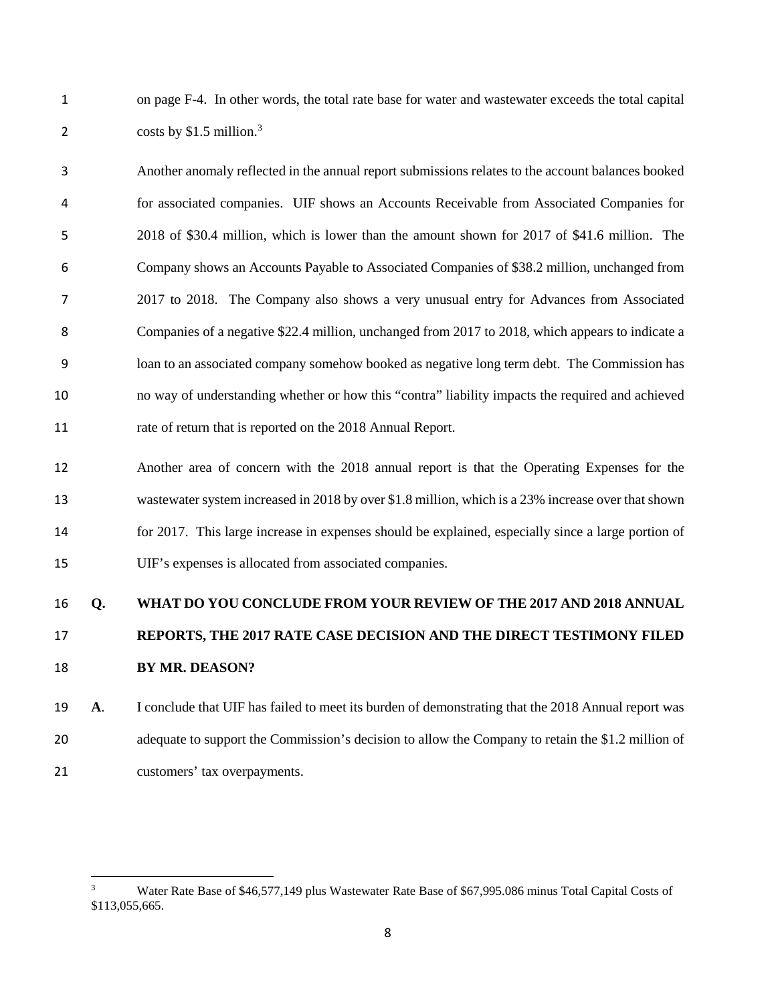on page F-4. In other words, the total rate base for water and wastewater exceeds the total capital 2 costs by  $$1.5$  million.<sup>[3](#page-10-0)</sup>

Another anomaly reflected in the annual report submissions relates to the account balances booked for associated companies. UIF shows an Accounts Receivable from Associated Companies for 2018 of \$30.4 million, which is lower than the amount shown for 2017 of \$41.6 million. The Company shows an Accounts Payable to Associated Companies of \$38.2 million, unchanged from 2017 to 2018. The Company also shows a very unusual entry for Advances from Associated Companies of a negative \$22.4 million, unchanged from 2017 to 2018, which appears to indicate a loan to an associated company somehow booked as negative long term debt. The Commission has no way of understanding whether or how this "contra" liability impacts the required and achieved 11 rate of return that is reported on the 2018 Annual Report.

 Another area of concern with the 2018 annual report is that the Operating Expenses for the wastewater system increased in 2018 by over \$1.8 million, which is a 23% increase over that shown for 2017. This large increase in expenses should be explained, especially since a large portion of UIF's expenses is allocated from associated companies.

# **Q. WHAT DO YOU CONCLUDE FROM YOUR REVIEW OF THE 2017 AND 2018 ANNUAL REPORTS, THE 2017 RATE CASE DECISION AND THE DIRECT TESTIMONY FILED BY MR. DEASON?**

 **A**. I conclude that UIF has failed to meet its burden of demonstrating that the 2018 Annual report was 20 adequate to support the Commission's decision to allow the Company to retain the \$1.2 million of customers' tax overpayments.

l

<span id="page-10-0"></span> Water Rate Base of \$46,577,149 plus Wastewater Rate Base of \$67,995.086 minus Total Capital Costs of \$113,055,665.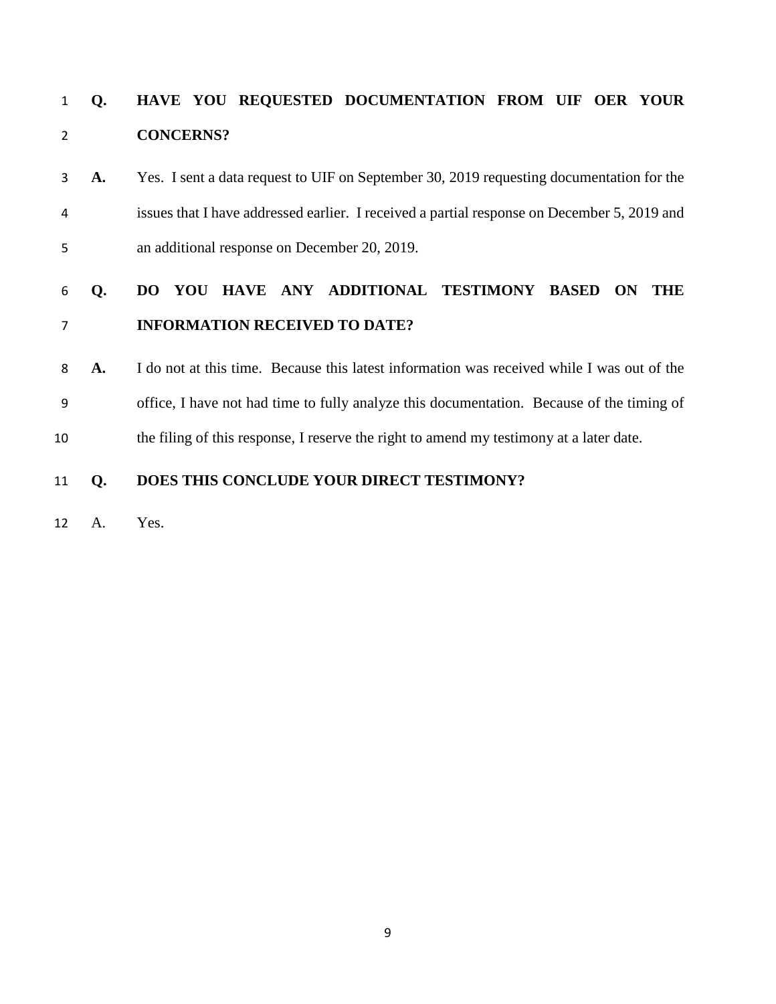# **Q. HAVE YOU REQUESTED DOCUMENTATION FROM UIF OER YOUR CONCERNS?**

**A.** Yes. I sent a data request to UIF on September 30, 2019 requesting documentation for the issues that I have addressed earlier. I received a partial response on December 5, 2019 and an additional response on December 20, 2019.

# **Q. DO YOU HAVE ANY ADDITIONAL TESTIMONY BASED ON THE INFORMATION RECEIVED TO DATE?**

**A.** I do not at this time. Because this latest information was received while I was out of the office, I have not had time to fully analyze this documentation. Because of the timing of the filing of this response, I reserve the right to amend my testimony at a later date.

### **Q. DOES THIS CONCLUDE YOUR DIRECT TESTIMONY?**

A. Yes.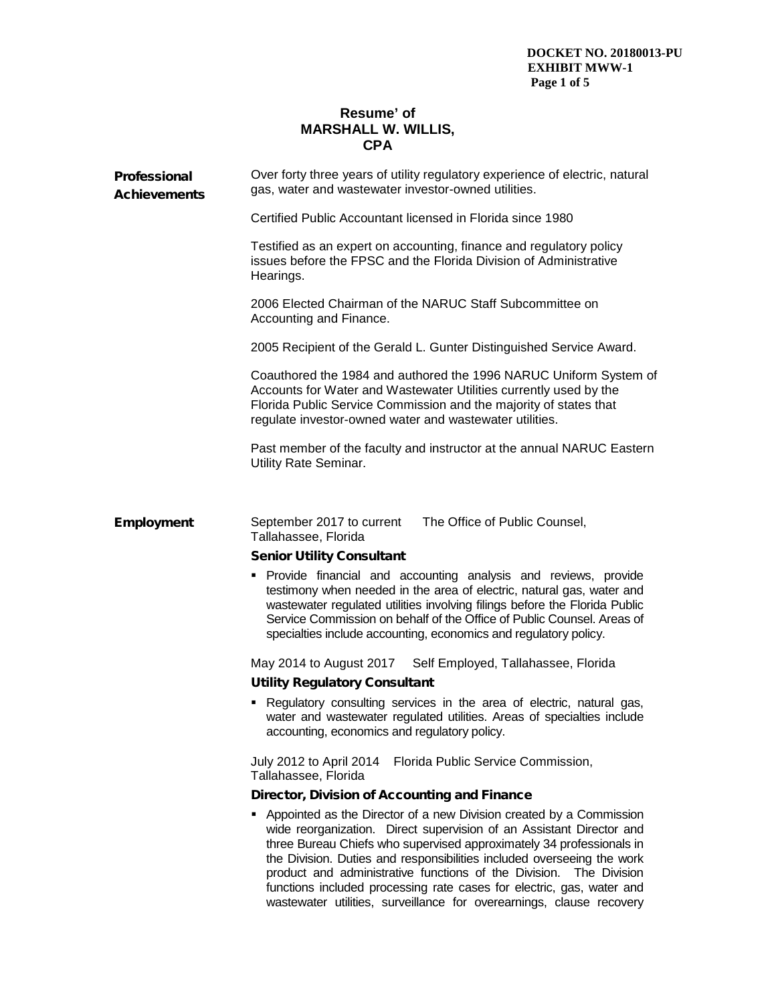#### **Resume' of MARSHALL W. WILLIS, CPA**

| Professional<br><b>Achievements</b> | Over forty three years of utility regulatory experience of electric, natural<br>gas, water and wastewater investor-owned utilities.                                                                                                                                                                                                                                                                                                            |
|-------------------------------------|------------------------------------------------------------------------------------------------------------------------------------------------------------------------------------------------------------------------------------------------------------------------------------------------------------------------------------------------------------------------------------------------------------------------------------------------|
|                                     | Certified Public Accountant licensed in Florida since 1980                                                                                                                                                                                                                                                                                                                                                                                     |
|                                     | Testified as an expert on accounting, finance and regulatory policy<br>issues before the FPSC and the Florida Division of Administrative<br>Hearings.                                                                                                                                                                                                                                                                                          |
|                                     | 2006 Elected Chairman of the NARUC Staff Subcommittee on<br>Accounting and Finance.                                                                                                                                                                                                                                                                                                                                                            |
|                                     | 2005 Recipient of the Gerald L. Gunter Distinguished Service Award.                                                                                                                                                                                                                                                                                                                                                                            |
|                                     | Coauthored the 1984 and authored the 1996 NARUC Uniform System of<br>Accounts for Water and Wastewater Utilities currently used by the<br>Florida Public Service Commission and the majority of states that<br>regulate investor-owned water and wastewater utilities.                                                                                                                                                                         |
|                                     | Past member of the faculty and instructor at the annual NARUC Eastern<br>Utility Rate Seminar.                                                                                                                                                                                                                                                                                                                                                 |
|                                     |                                                                                                                                                                                                                                                                                                                                                                                                                                                |
| <b>Employment</b>                   | September 2017 to current<br>The Office of Public Counsel,<br>Tallahassee, Florida                                                                                                                                                                                                                                                                                                                                                             |
|                                     | <b>Senior Utility Consultant</b>                                                                                                                                                                                                                                                                                                                                                                                                               |
|                                     | Provide financial and accounting analysis and reviews, provide<br>٠<br>testimony when needed in the area of electric, natural gas, water and<br>wastewater regulated utilities involving filings before the Florida Public<br>Service Commission on behalf of the Office of Public Counsel. Areas of<br>specialties include accounting, economics and regulatory policy.                                                                       |
|                                     | May 2014 to August 2017<br>Self Employed, Tallahassee, Florida                                                                                                                                                                                                                                                                                                                                                                                 |
|                                     | <b>Utility Regulatory Consultant</b>                                                                                                                                                                                                                                                                                                                                                                                                           |
|                                     | Regulatory consulting services in the area of electric, natural gas,<br>water and wastewater regulated utilities. Areas of specialties include<br>accounting, economics and regulatory policy.                                                                                                                                                                                                                                                 |
|                                     | July 2012 to April 2014<br>Florida Public Service Commission,<br>Tallahassee, Florida                                                                                                                                                                                                                                                                                                                                                          |
|                                     | Director, Division of Accounting and Finance                                                                                                                                                                                                                                                                                                                                                                                                   |
|                                     | • Appointed as the Director of a new Division created by a Commission<br>wide reorganization. Direct supervision of an Assistant Director and<br>three Bureau Chiefs who supervised approximately 34 professionals in<br>the Division. Duties and responsibilities included overseeing the work<br>product and administrative functions of the Division. The Division<br>functions included processing rate cases for electric, gas, water and |

wastewater utilities, surveillance for overearnings, clause recovery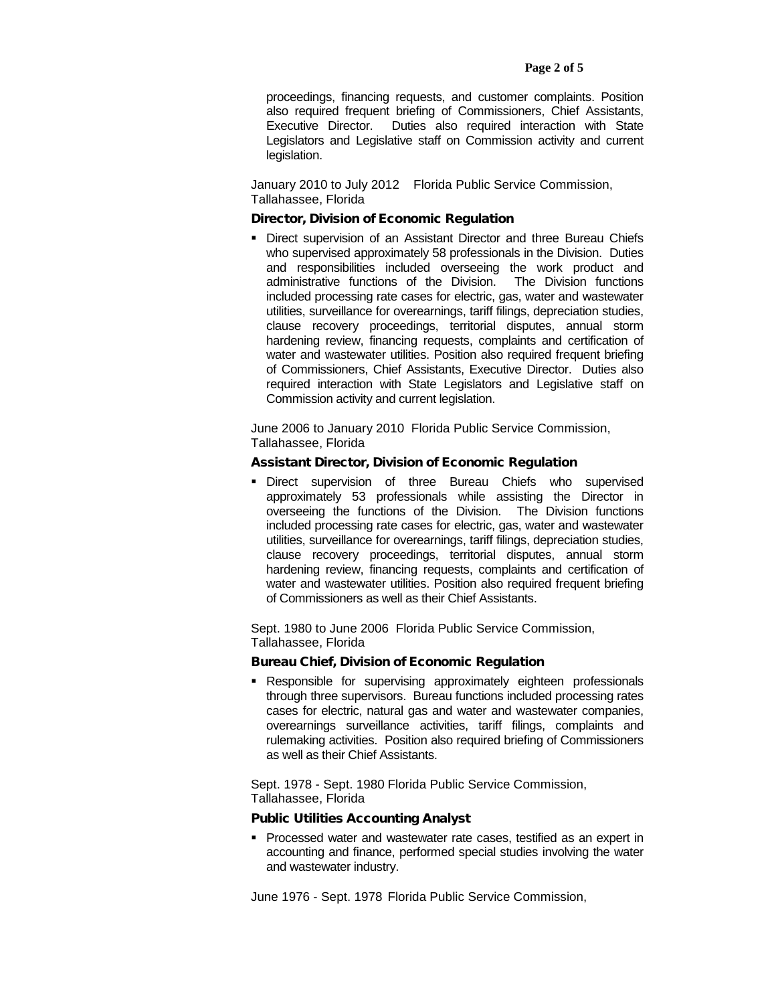proceedings, financing requests, and customer complaints. Position also required frequent briefing of Commissioners, Chief Assistants, Executive Director. Duties also required interaction with State Legislators and Legislative staff on Commission activity and current legislation.

January 2010 to July 2012 Florida Public Service Commission, Tallahassee, Florida

#### Director, Division of Economic Regulation

**• Direct supervision of an Assistant Director and three Bureau Chiefs** who supervised approximately 58 professionals in the Division. Duties and responsibilities included overseeing the work product and administrative functions of the Division. The Division functions included processing rate cases for electric, gas, water and wastewater utilities, surveillance for overearnings, tariff filings, depreciation studies, clause recovery proceedings, territorial disputes, annual storm hardening review, financing requests, complaints and certification of water and wastewater utilities. Position also required frequent briefing of Commissioners, Chief Assistants, Executive Director. Duties also required interaction with State Legislators and Legislative staff on Commission activity and current legislation.

June 2006 to January 2010 Florida Public Service Commission, Tallahassee, Florida

#### Assistant Director, Division of Economic Regulation

 Direct supervision of three Bureau Chiefs who supervised approximately 53 professionals while assisting the Director in overseeing the functions of the Division. The Division functions included processing rate cases for electric, gas, water and wastewater utilities, surveillance for overearnings, tariff filings, depreciation studies, clause recovery proceedings, territorial disputes, annual storm hardening review, financing requests, complaints and certification of water and wastewater utilities. Position also required frequent briefing of Commissioners as well as their Chief Assistants.

Sept. 1980 to June 2006 Florida Public Service Commission, Tallahassee, Florida

#### Bureau Chief, Division of Economic Regulation

 Responsible for supervising approximately eighteen professionals through three supervisors. Bureau functions included processing rates cases for electric, natural gas and water and wastewater companies, overearnings surveillance activities, tariff filings, complaints and rulemaking activities. Position also required briefing of Commissioners as well as their Chief Assistants.

Sept. 1978 - Sept. 1980 Florida Public Service Commission, Tallahassee, Florida

#### Public Utilities Accounting Analyst

**Processed water and wastewater rate cases, testified as an expert in** accounting and finance, performed special studies involving the water and wastewater industry.

June 1976 - Sept. 1978 Florida Public Service Commission,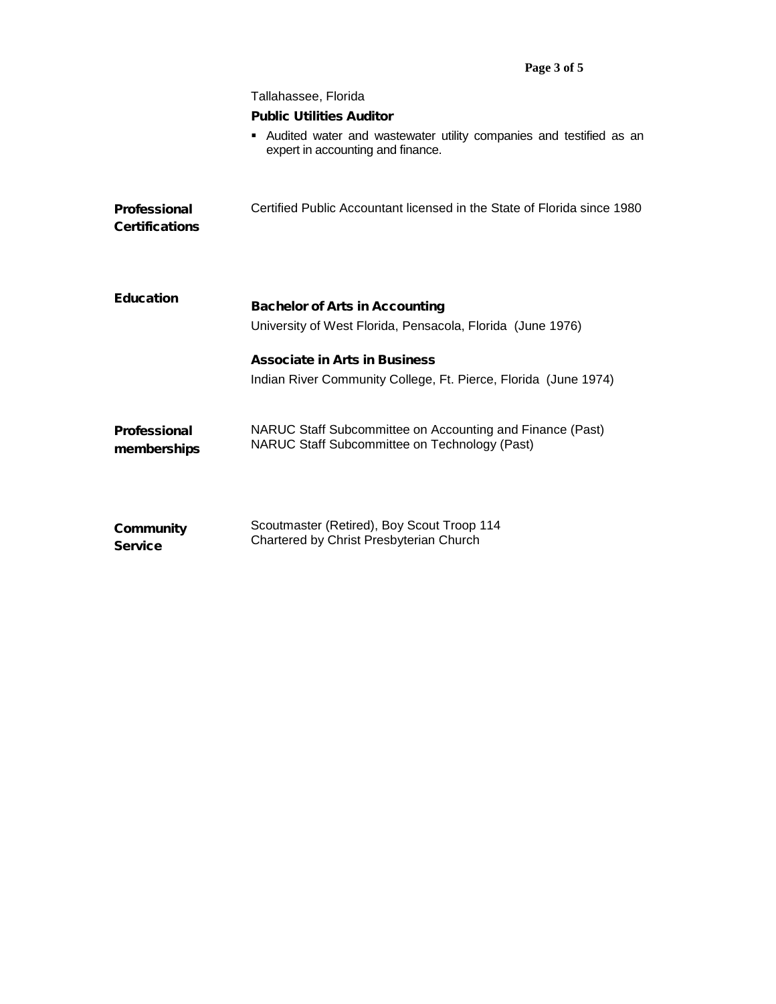|                                       | Tallahassee, Florida                                                                                       |
|---------------------------------------|------------------------------------------------------------------------------------------------------------|
|                                       | <b>Public Utilities Auditor</b>                                                                            |
|                                       | Audited water and wastewater utility companies and testified as an<br>expert in accounting and finance.    |
| Professional<br><b>Certifications</b> | Certified Public Accountant licensed in the State of Florida since 1980                                    |
| <b>Education</b>                      | <b>Bachelor of Arts in Accounting</b><br>University of West Florida, Pensacola, Florida (June 1976)        |
|                                       | <b>Associate in Arts in Business</b>                                                                       |
|                                       | Indian River Community College, Ft. Pierce, Florida (June 1974)                                            |
| <b>Professional</b><br>memberships    | NARUC Staff Subcommittee on Accounting and Finance (Past)<br>NARUC Staff Subcommittee on Technology (Past) |
| Community<br><b>Service</b>           | Scoutmaster (Retired), Boy Scout Troop 114<br>Chartered by Christ Presbyterian Church                      |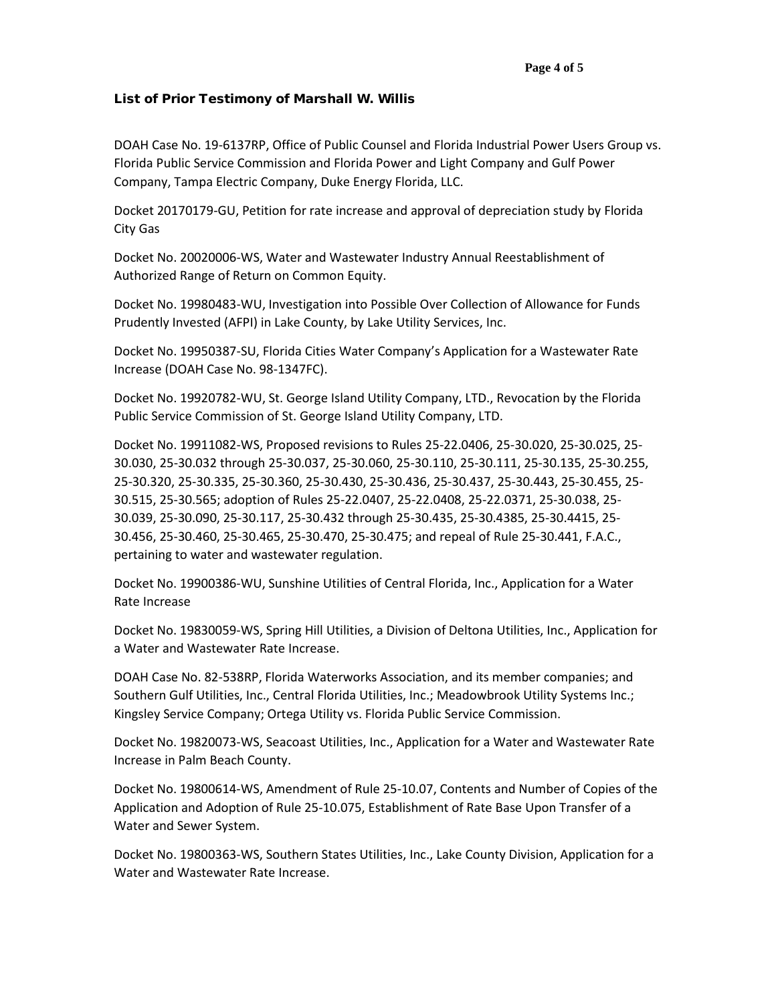#### **Page 4 of 5**

#### List of Prior Testimony of Marshall W. Willis

DOAH Case No. 19-6137RP, Office of Public Counsel and Florida Industrial Power Users Group vs. Florida Public Service Commission and Florida Power and Light Company and Gulf Power Company, Tampa Electric Company, Duke Energy Florida, LLC.

Docket 20170179-GU, Petition for rate increase and approval of depreciation study by Florida City Gas

Docket No. 20020006-WS, Water and Wastewater Industry Annual Reestablishment of Authorized Range of Return on Common Equity.

Docket No. 19980483-WU, Investigation into Possible Over Collection of Allowance for Funds Prudently Invested (AFPI) in Lake County, by Lake Utility Services, Inc.

Docket No. 19950387-SU, Florida Cities Water Company's Application for a Wastewater Rate Increase (DOAH Case No. 98-1347FC).

Docket No. 19920782-WU, St. George Island Utility Company, LTD., Revocation by the Florida Public Service Commission of St. George Island Utility Company, LTD.

Docket No. 19911082-WS, Proposed revisions to Rules 25-22.0406, 25-30.020, 25-30.025, 25- 30.030, 25-30.032 through 25-30.037, 25-30.060, 25-30.110, 25-30.111, 25-30.135, 25-30.255, 25-30.320, 25-30.335, 25-30.360, 25-30.430, 25-30.436, 25-30.437, 25-30.443, 25-30.455, 25- 30.515, 25-30.565; adoption of Rules 25-22.0407, 25-22.0408, 25-22.0371, 25-30.038, 25- 30.039, 25-30.090, 25-30.117, 25-30.432 through 25-30.435, 25-30.4385, 25-30.4415, 25- 30.456, 25-30.460, 25-30.465, 25-30.470, 25-30.475; and repeal of Rule 25-30.441, F.A.C., pertaining to water and wastewater regulation.

Docket No. 19900386-WU, Sunshine Utilities of Central Florida, Inc., Application for a Water Rate Increase

Docket No. 19830059-WS, Spring Hill Utilities, a Division of Deltona Utilities, Inc., Application for a Water and Wastewater Rate Increase.

DOAH Case No. 82-538RP, Florida Waterworks Association, and its member companies; and Southern Gulf Utilities, Inc., Central Florida Utilities, Inc.; Meadowbrook Utility Systems Inc.; Kingsley Service Company; Ortega Utility vs. Florida Public Service Commission.

Docket No. 19820073-WS, Seacoast Utilities, Inc., Application for a Water and Wastewater Rate Increase in Palm Beach County.

Docket No. 19800614-WS, Amendment of Rule 25-10.07, Contents and Number of Copies of the Application and Adoption of Rule 25-10.075, Establishment of Rate Base Upon Transfer of a Water and Sewer System.

Docket No. 19800363-WS, Southern States Utilities, Inc., Lake County Division, Application for a Water and Wastewater Rate Increase.